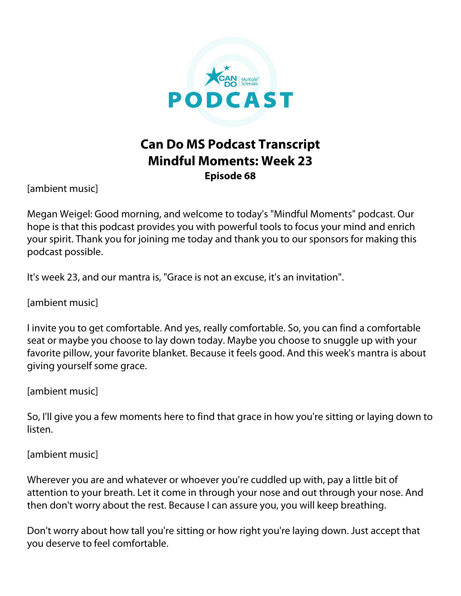

## **Can Do MS Podcast Transcript Mindful Moments: Week 23 Episode 68**

[ambient music]

Megan Weigel: Good morning, and welcome to today's "Mindful Moments" podcast. Our hope is that this podcast provides you with powerful tools to focus your mind and enrich your spirit. Thank you for joining me today and thank you to our sponsors for making this podcast possible.

It's week 23, and our mantra is, "Grace is not an excuse, it's an invitation".

[ambient music]

I invite you to get comfortable. And yes, really comfortable. So, you can find a comfortable seat or maybe you choose to lay down today. Maybe you choose to snuggle up with your favorite pillow, your favorite blanket. Because it feels good. And this week's mantra is about giving yourself some grace.

[ambient music]

So, I'll give you a few moments here to find that grace in how you're sitting or laying down to listen.

[ambient music]

Wherever you are and whatever or whoever you're cuddled up with, pay a little bit of attention to your breath. Let it come in through your nose and out through your nose. And then don't worry about the rest. Because I can assure you, you will keep breathing.

Don't worry about how tall you're sitting or how right you're laying down. Just accept that you deserve to feel comfortable.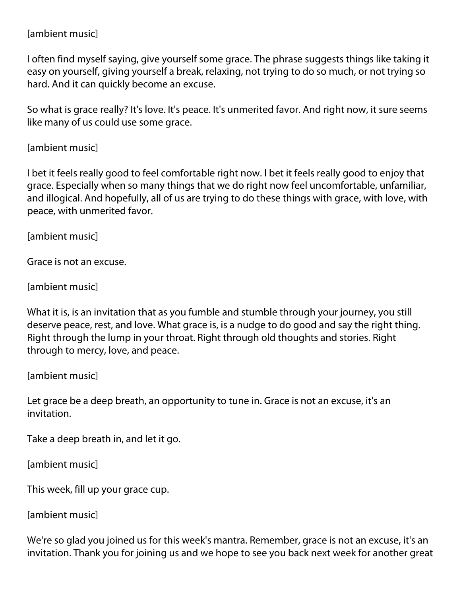## [ambient music]

I often find myself saying, give yourself some grace. The phrase suggests things like taking it easy on yourself, giving yourself a break, relaxing, not trying to do so much, or not trying so hard. And it can quickly become an excuse.

So what is grace really? It's love. It's peace. It's unmerited favor. And right now, it sure seems like many of us could use some grace.

## [ambient music]

I bet it feels really good to feel comfortable right now. I bet it feels really good to enjoy that grace. Especially when so many things that we do right now feel uncomfortable, unfamiliar, and illogical. And hopefully, all of us are trying to do these things with grace, with love, with peace, with unmerited favor.

[ambient music]

Grace is not an excuse.

[ambient music]

What it is, is an invitation that as you fumble and stumble through your journey, you still deserve peace, rest, and love. What grace is, is a nudge to do good and say the right thing. Right through the lump in your throat. Right through old thoughts and stories. Right through to mercy, love, and peace.

[ambient music]

Let grace be a deep breath, an opportunity to tune in. Grace is not an excuse, it's an invitation.

Take a deep breath in, and let it go.

[ambient music]

This week, fill up your grace cup.

[ambient music]

We're so glad you joined us for this week's mantra. Remember, grace is not an excuse, it's an invitation. Thank you for joining us and we hope to see you back next week for another great